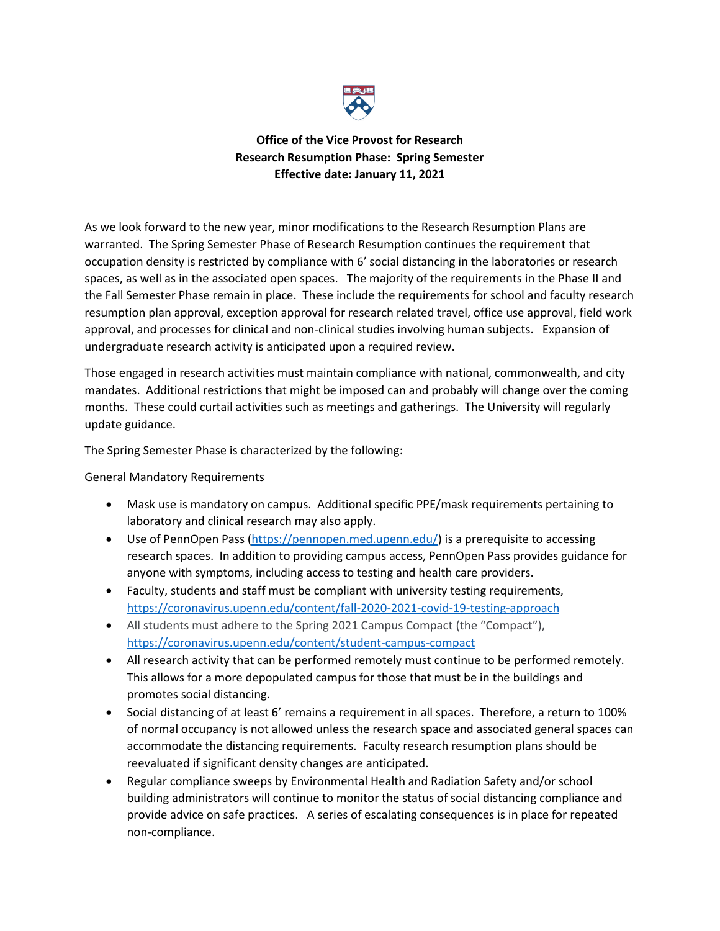

# **Office of the Vice Provost for Research Research Resumption Phase: Spring Semester Effective date: January 11, 2021**

As we look forward to the new year, minor modifications to the Research Resumption Plans are warranted. The Spring Semester Phase of Research Resumption continues the requirement that occupation density is restricted by compliance with 6' social distancing in the laboratories or research spaces, as well as in the associated open spaces. The majority of the requirements in the Phase II and the Fall Semester Phase remain in place. These include the requirements for school and faculty research resumption plan approval, exception approval for research related travel, office use approval, field work approval, and processes for clinical and non-clinical studies involving human subjects. Expansion of undergraduate research activity is anticipated upon a required review.

Those engaged in research activities must maintain compliance with national, commonwealth, and city mandates. Additional restrictions that might be imposed can and probably will change over the coming months. These could curtail activities such as meetings and gatherings. The University will regularly update guidance.

The Spring Semester Phase is characterized by the following:

# General Mandatory Requirements

- Mask use is mandatory on campus. Additional specific PPE/mask requirements pertaining to laboratory and clinical research may also apply.
- Use of PennOpen Pass [\(https://pennopen.med.upenn.edu/\)](https://pennopen.med.upenn.edu/) is a prerequisite to accessing research spaces. In addition to providing campus access, PennOpen Pass provides guidance for anyone with symptoms, including access to testing and health care providers.
- Faculty, students and staff must be compliant with university testing requirements, <https://coronavirus.upenn.edu/content/fall-2020-2021-covid-19-testing-approach>
- All students must adhere to the Spring 2021 Campus Compact (the "Compact"), <https://coronavirus.upenn.edu/content/student-campus-compact>
- All research activity that can be performed remotely must continue to be performed remotely. This allows for a more depopulated campus for those that must be in the buildings and promotes social distancing.
- Social distancing of at least 6' remains a requirement in all spaces. Therefore, a return to 100% of normal occupancy is not allowed unless the research space and associated general spaces can accommodate the distancing requirements. Faculty research resumption plans should be reevaluated if significant density changes are anticipated.
- Regular compliance sweeps by Environmental Health and Radiation Safety and/or school building administrators will continue to monitor the status of social distancing compliance and provide advice on safe practices. A series of escalating consequences is in place for repeated non-compliance.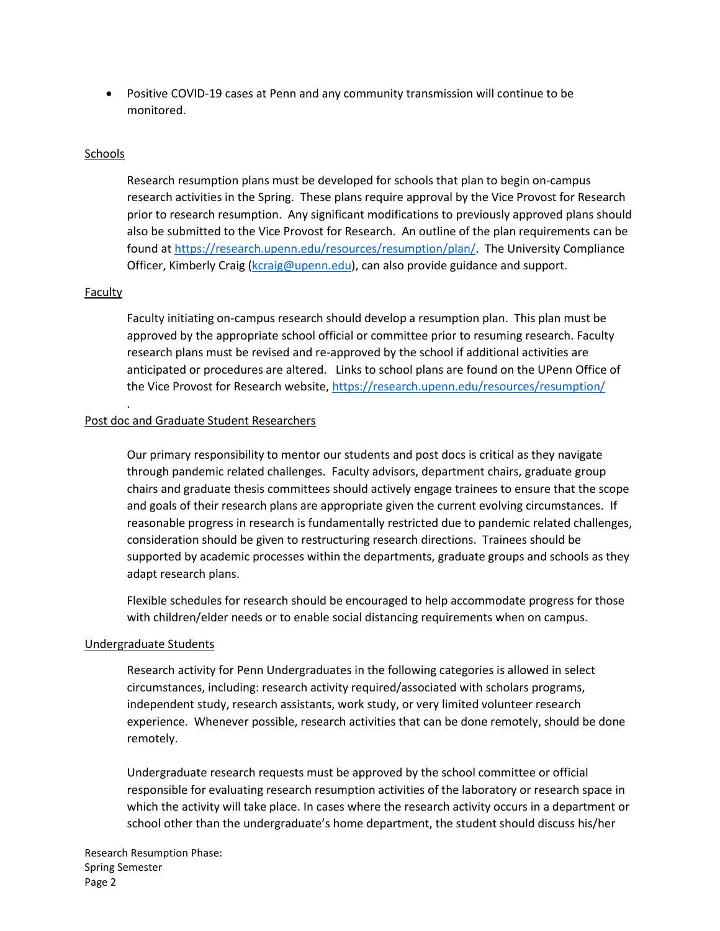• Positive COVID-19 cases at Penn and any community transmission will continue to be monitored.

#### Schools

Research resumption plans must be developed for schools that plan to begin on-campus research activities in the Spring. These plans require approval by the Vice Provost for Research prior to research resumption. Any significant modifications to previously approved plans should also be submitted to the Vice Provost for Research. An outline of the plan requirements can be found a[t https://research.upenn.edu/resources/resumption/plan/.](https://research.upenn.edu/resources/resumption/plan/) The University Compliance Officer, Kimberly Craig [\(kcraig@upenn.edu\)](mailto:kcraig@upenn.edu), can also provide guidance and support.

#### Faculty

.

Faculty initiating on-campus research should develop a resumption plan. This plan must be approved by the appropriate school official or committee prior to resuming research. Faculty research plans must be revised and re-approved by the school if additional activities are anticipated or procedures are altered. Links to school plans are found on the UPenn Office of the Vice Provost for Research website[, https://research.upenn.edu/resources/resumption/](https://research.upenn.edu/resources/resumption/)

#### Post doc and Graduate Student Researchers

Our primary responsibility to mentor our students and post docs is critical as they navigate through pandemic related challenges. Faculty advisors, department chairs, graduate group chairs and graduate thesis committees should actively engage trainees to ensure that the scope and goals of their research plans are appropriate given the current evolving circumstances. If reasonable progress in research is fundamentally restricted due to pandemic related challenges, consideration should be given to restructuring research directions. Trainees should be supported by academic processes within the departments, graduate groups and schools as they adapt research plans.

Flexible schedules for research should be encouraged to help accommodate progress for those with children/elder needs or to enable social distancing requirements when on campus.

#### Undergraduate Students

Research activity for Penn Undergraduates in the following categories is allowed in select circumstances, including: research activity required/associated with scholars programs, independent study, research assistants, work study, or very limited volunteer research experience. Whenever possible, research activities that can be done remotely, should be done remotely.

Undergraduate research requests must be approved by the school committee or official responsible for evaluating research resumption activities of the laboratory or research space in which the activity will take place. In cases where the research activity occurs in a department or school other than the undergraduate's home department, the student should discuss his/her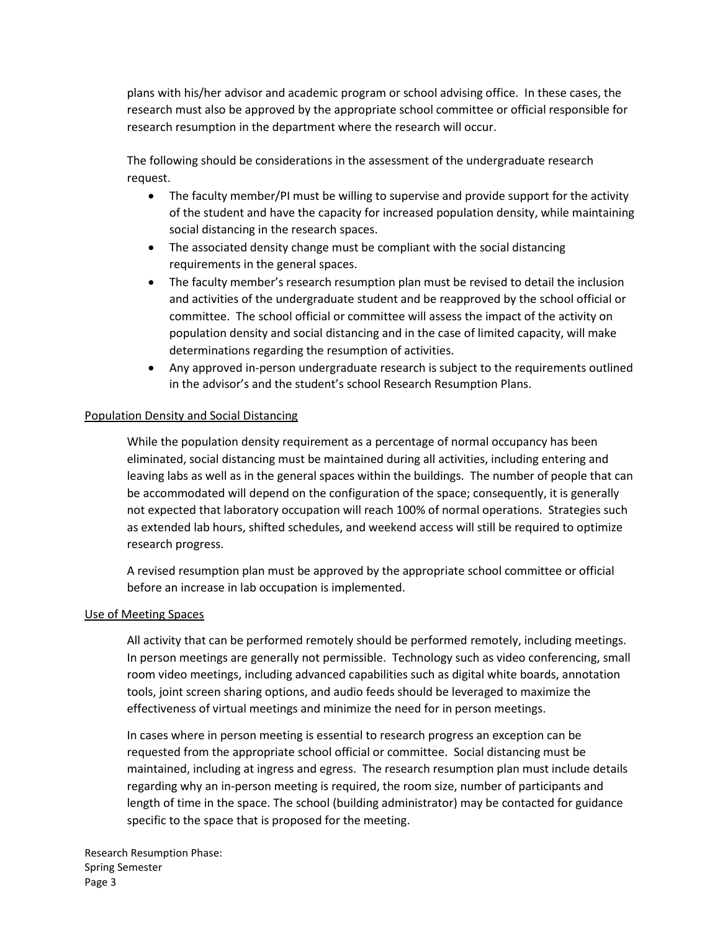plans with his/her advisor and academic program or school advising office. In these cases, the research must also be approved by the appropriate school committee or official responsible for research resumption in the department where the research will occur.

The following should be considerations in the assessment of the undergraduate research request.

- The faculty member/PI must be willing to supervise and provide support for the activity of the student and have the capacity for increased population density, while maintaining social distancing in the research spaces.
- The associated density change must be compliant with the social distancing requirements in the general spaces.
- The faculty member's research resumption plan must be revised to detail the inclusion and activities of the undergraduate student and be reapproved by the school official or committee. The school official or committee will assess the impact of the activity on population density and social distancing and in the case of limited capacity, will make determinations regarding the resumption of activities.
- Any approved in-person undergraduate research is subject to the requirements outlined in the advisor's and the student's school Research Resumption Plans.

### Population Density and Social Distancing

While the population density requirement as a percentage of normal occupancy has been eliminated, social distancing must be maintained during all activities, including entering and leaving labs as well as in the general spaces within the buildings. The number of people that can be accommodated will depend on the configuration of the space; consequently, it is generally not expected that laboratory occupation will reach 100% of normal operations. Strategies such as extended lab hours, shifted schedules, and weekend access will still be required to optimize research progress.

A revised resumption plan must be approved by the appropriate school committee or official before an increase in lab occupation is implemented.

#### Use of Meeting Spaces

All activity that can be performed remotely should be performed remotely, including meetings. In person meetings are generally not permissible. Technology such as video conferencing, small room video meetings, including advanced capabilities such as digital white boards, annotation tools, joint screen sharing options, and audio feeds should be leveraged to maximize the effectiveness of virtual meetings and minimize the need for in person meetings.

In cases where in person meeting is essential to research progress an exception can be requested from the appropriate school official or committee. Social distancing must be maintained, including at ingress and egress. The research resumption plan must include details regarding why an in-person meeting is required, the room size, number of participants and length of time in the space. The school (building administrator) may be contacted for guidance specific to the space that is proposed for the meeting.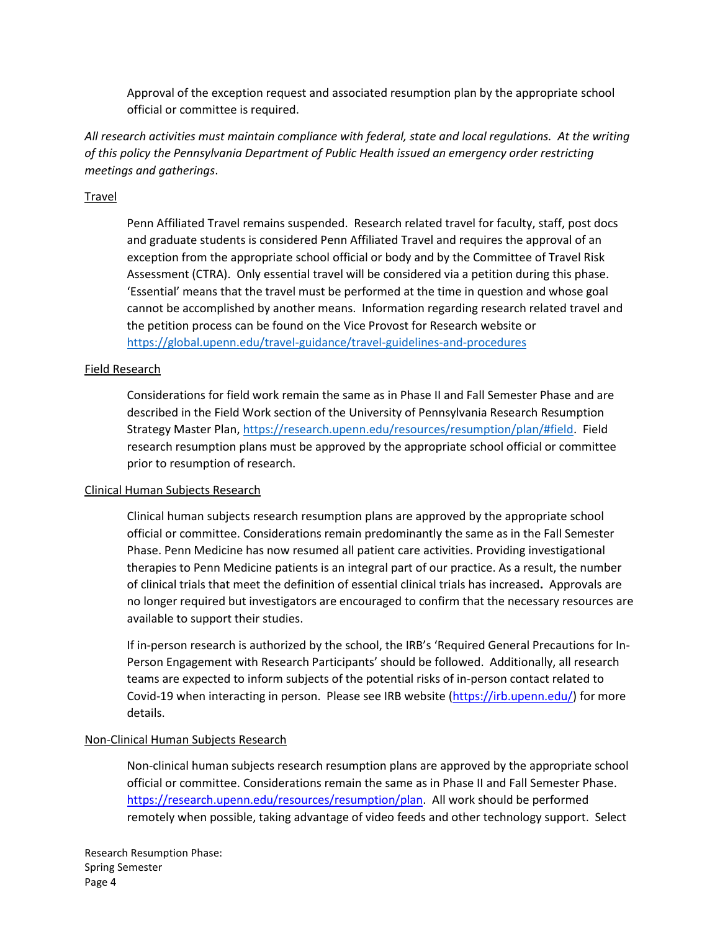Approval of the exception request and associated resumption plan by the appropriate school official or committee is required.

*All research activities must maintain compliance with federal, state and local regulations. At the writing of this policy the Pennsylvania Department of Public Health issued an emergency order restricting meetings and gatherings*.

### Travel

Penn Affiliated Travel remains suspended. Research related travel for faculty, staff, post docs and graduate students is considered Penn Affiliated Travel and requires the approval of an exception from the appropriate school official or body and by the Committee of Travel Risk Assessment (CTRA). Only essential travel will be considered via a petition during this phase. 'Essential' means that the travel must be performed at the time in question and whose goal cannot be accomplished by another means. Information regarding research related travel and the petition process can be found on the Vice Provost for Research website or <https://global.upenn.edu/travel-guidance/travel-guidelines-and-procedures>

#### Field Research

Considerations for field work remain the same as in Phase II and Fall Semester Phase and are described in the Field Work section of the University of Pennsylvania Research Resumption Strategy Master Plan[, https://research.upenn.edu/resources/resumption/plan/#field.](https://research.upenn.edu/resources/resumption/plan/#field) Field research resumption plans must be approved by the appropriate school official or committee prior to resumption of research.

#### Clinical Human Subjects Research

Clinical human subjects research resumption plans are approved by the appropriate school official or committee. Considerations remain predominantly the same as in the Fall Semester Phase. Penn Medicine has now resumed all patient care activities. Providing investigational therapies to Penn Medicine patients is an integral part of our practice. As a result, the number of clinical trials that meet the definition of essential clinical trials has increased**.** Approvals are no longer required but investigators are encouraged to confirm that the necessary resources are available to support their studies.

If in-person research is authorized by the school, the IRB's 'Required General Precautions for In-Person Engagement with Research Participants' should be followed. Additionally, all research teams are expected to inform subjects of the potential risks of in-person contact related to Covid-19 when interacting in person. Please see IRB website [\(https://irb.upenn.edu/\)](https://irb.upenn.edu/) for more details.

#### Non-Clinical Human Subjects Research

Non-clinical human subjects research resumption plans are approved by the appropriate school official or committee. Considerations remain the same as in Phase II and Fall Semester Phase. [https://research.upenn.edu/resources/resumption/plan.](https://research.upenn.edu/resources/resumption/plan) All work should be performed remotely when possible, taking advantage of video feeds and other technology support. Select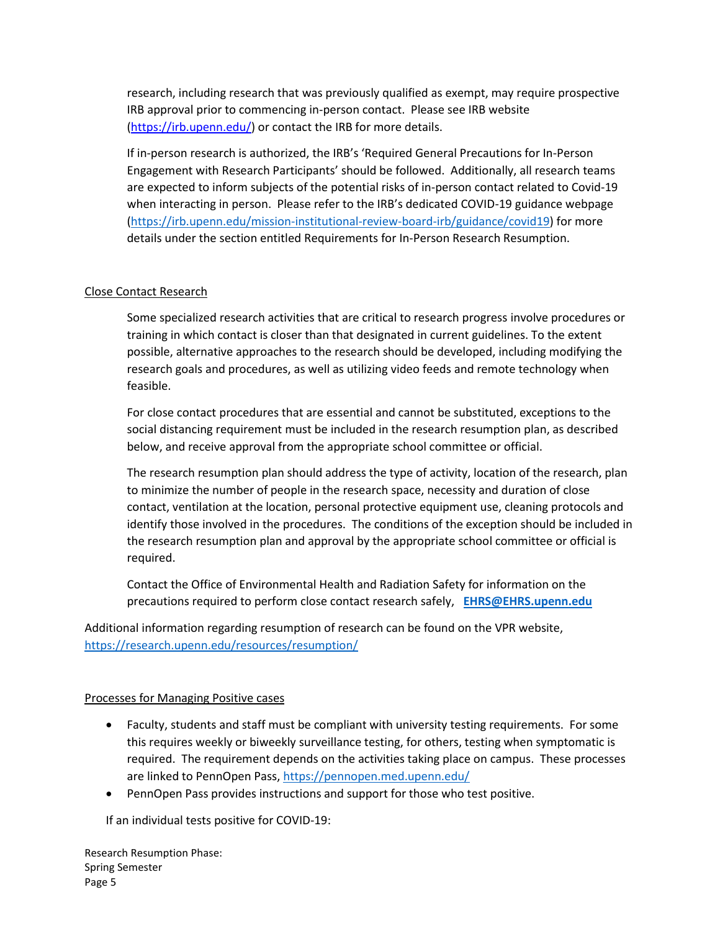research, including research that was previously qualified as exempt, may require prospective IRB approval prior to commencing in-person contact. Please see IRB website [\(https://irb.upenn.edu/\)](https://irb.upenn.edu/) or contact the IRB for more details.

If in-person research is authorized, the IRB's 'Required General Precautions for In-Person Engagement with Research Participants' should be followed. Additionally, all research teams are expected to inform subjects of the potential risks of in-person contact related to Covid-19 when interacting in person. Please refer to the IRB's dedicated COVID-19 guidance webpage [\(https://irb.upenn.edu/mission-institutional-review-board-irb/guidance/covid19\)](https://irb.upenn.edu/mission-institutional-review-board-irb/guidance/covid19) for more details under the section entitled Requirements for In-Person Research Resumption.

# Close Contact Research

Some specialized research activities that are critical to research progress involve procedures or training in which contact is closer than that designated in current guidelines. To the extent possible, alternative approaches to the research should be developed, including modifying the research goals and procedures, as well as utilizing video feeds and remote technology when feasible.

For close contact procedures that are essential and cannot be substituted, exceptions to the social distancing requirement must be included in the research resumption plan, as described below, and receive approval from the appropriate school committee or official.

The research resumption plan should address the type of activity, location of the research, plan to minimize the number of people in the research space, necessity and duration of close contact, ventilation at the location, personal protective equipment use, cleaning protocols and identify those involved in the procedures. The conditions of the exception should be included in the research resumption plan and approval by the appropriate school committee or official is required.

Contact the Office of Environmental Health and Radiation Safety for information on the precautions required to perform close contact research safely, **[EHRS@EHRS.upenn.edu](mailto:EHRS@EHRS.upenn.edu)**

Additional information regarding resumption of research can be found on the VPR website, <https://research.upenn.edu/resources/resumption/>

#### Processes for Managing Positive cases

- Faculty, students and staff must be compliant with university testing requirements. For some this requires weekly or biweekly surveillance testing, for others, testing when symptomatic is required. The requirement depends on the activities taking place on campus. These processes are linked to PennOpen Pass,<https://pennopen.med.upenn.edu/>
- PennOpen Pass provides instructions and support for those who test positive.

If an individual tests positive for COVID-19: